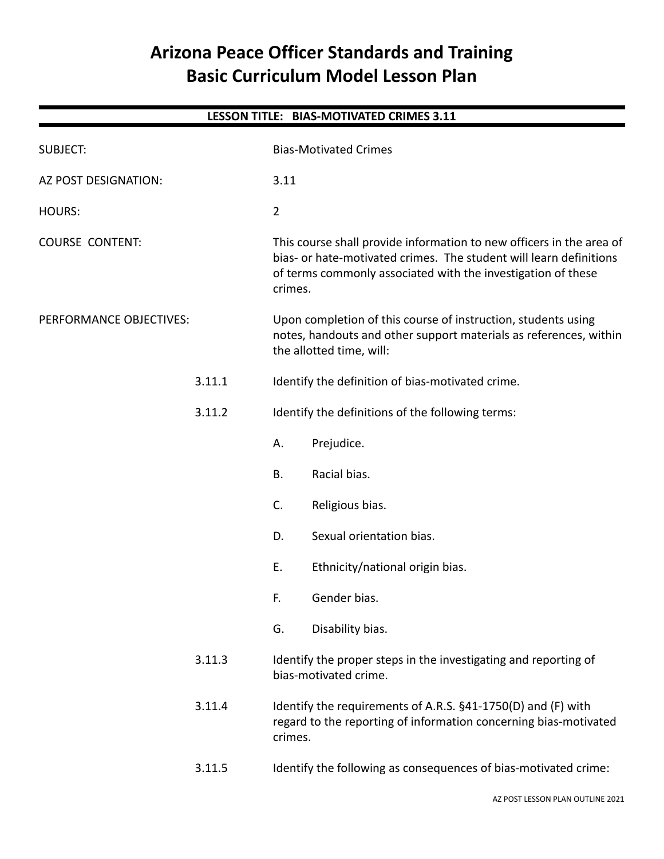# **Arizona Peace Officer Standards and Training Basic Curriculum Model Lesson Plan**

| LESSON TITLE: BIAS-MOTIVATED CRIMES 3.11 |        |                                                                                                                                                                                                                       |  |  |  |  |
|------------------------------------------|--------|-----------------------------------------------------------------------------------------------------------------------------------------------------------------------------------------------------------------------|--|--|--|--|
| <b>SUBJECT:</b>                          |        | <b>Bias-Motivated Crimes</b>                                                                                                                                                                                          |  |  |  |  |
| AZ POST DESIGNATION:                     |        | 3.11                                                                                                                                                                                                                  |  |  |  |  |
| <b>HOURS:</b>                            |        | $\overline{2}$                                                                                                                                                                                                        |  |  |  |  |
| <b>COURSE CONTENT:</b>                   |        | This course shall provide information to new officers in the area of<br>bias- or hate-motivated crimes. The student will learn definitions<br>of terms commonly associated with the investigation of these<br>crimes. |  |  |  |  |
| PERFORMANCE OBJECTIVES:                  |        | Upon completion of this course of instruction, students using<br>notes, handouts and other support materials as references, within<br>the allotted time, will:                                                        |  |  |  |  |
|                                          | 3.11.1 | Identify the definition of bias-motivated crime.                                                                                                                                                                      |  |  |  |  |
|                                          | 3.11.2 | Identify the definitions of the following terms:                                                                                                                                                                      |  |  |  |  |
|                                          |        | А.<br>Prejudice.                                                                                                                                                                                                      |  |  |  |  |
|                                          |        | <b>B.</b><br>Racial bias.                                                                                                                                                                                             |  |  |  |  |
|                                          |        | C.<br>Religious bias.                                                                                                                                                                                                 |  |  |  |  |
|                                          |        | D.<br>Sexual orientation bias.                                                                                                                                                                                        |  |  |  |  |
|                                          |        | Ε.<br>Ethnicity/national origin bias.                                                                                                                                                                                 |  |  |  |  |
|                                          |        | F.<br>Gender bias.                                                                                                                                                                                                    |  |  |  |  |
|                                          |        | Disability bias.<br>G.                                                                                                                                                                                                |  |  |  |  |
|                                          | 3.11.3 | Identify the proper steps in the investigating and reporting of<br>bias-motivated crime.                                                                                                                              |  |  |  |  |
|                                          | 3.11.4 | Identify the requirements of A.R.S. §41-1750(D) and (F) with<br>regard to the reporting of information concerning bias-motivated<br>crimes.                                                                           |  |  |  |  |
|                                          | 3.11.5 | Identify the following as consequences of bias-motivated crime:                                                                                                                                                       |  |  |  |  |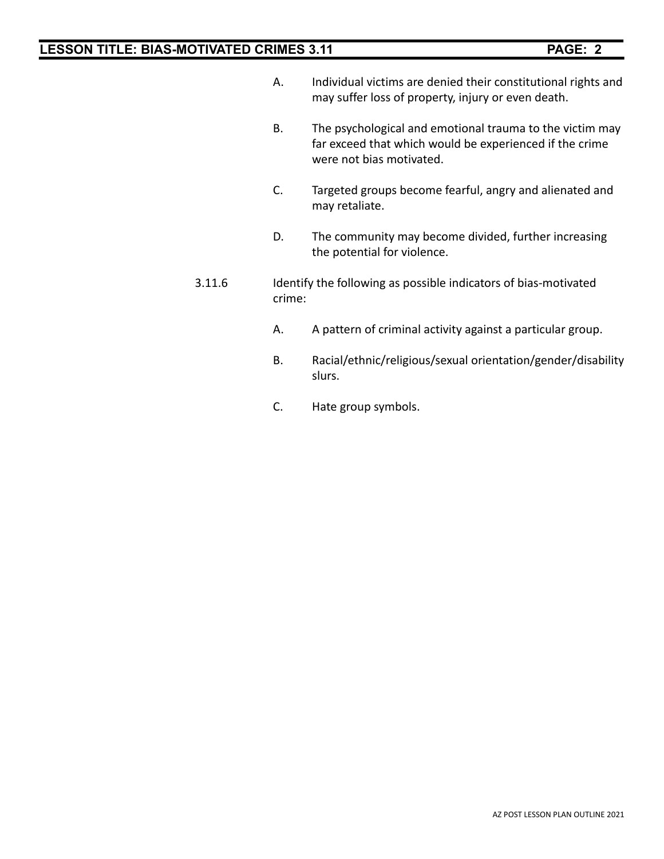- A. Individual victims are denied their constitutional rights and may suffer loss of property, injury or even death.
- B. The psychological and emotional trauma to the victim may far exceed that which would be experienced if the crime were not bias motivated.
- C. Targeted groups become fearful, angry and alienated and may retaliate.
- D. The community may become divided, further increasing the potential for violence.
- 3.11.6 Identify the following as possible indicators of bias-motivated crime:
	- A. A pattern of criminal activity against a particular group.
	- B. Racial/ethnic/religious/sexual orientation/gender/disability slurs.
	- C. Hate group symbols.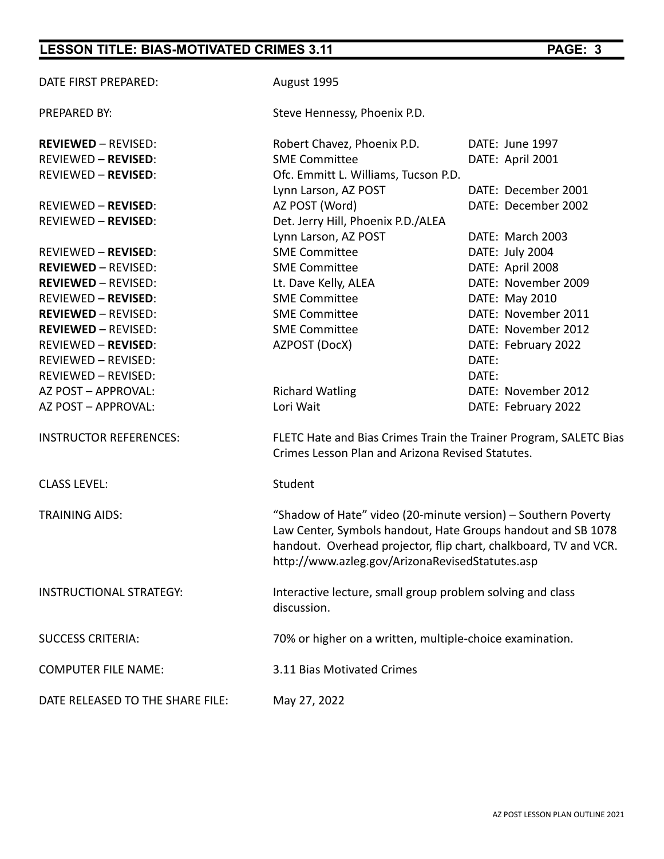| DATE FIRST PREPARED:             | August 1995                                                                                                                                                                                                                                          |                                                                   |  |
|----------------------------------|------------------------------------------------------------------------------------------------------------------------------------------------------------------------------------------------------------------------------------------------------|-------------------------------------------------------------------|--|
| PREPARED BY:                     | Steve Hennessy, Phoenix P.D.                                                                                                                                                                                                                         |                                                                   |  |
| <b>REVIEWED - REVISED:</b>       | Robert Chavez, Phoenix P.D.                                                                                                                                                                                                                          | DATE: June 1997                                                   |  |
| <b>REVIEWED - REVISED:</b>       | <b>SME Committee</b>                                                                                                                                                                                                                                 | DATE: April 2001                                                  |  |
| <b>REVIEWED - REVISED:</b>       | Ofc. Emmitt L. Williams, Tucson P.D.                                                                                                                                                                                                                 |                                                                   |  |
|                                  | Lynn Larson, AZ POST                                                                                                                                                                                                                                 | DATE: December 2001                                               |  |
| <b>REVIEWED - REVISED:</b>       | AZ POST (Word)                                                                                                                                                                                                                                       | DATE: December 2002                                               |  |
| <b>REVIEWED - REVISED:</b>       | Det. Jerry Hill, Phoenix P.D./ALEA                                                                                                                                                                                                                   |                                                                   |  |
|                                  | Lynn Larson, AZ POST                                                                                                                                                                                                                                 | DATE: March 2003                                                  |  |
| <b>REVIEWED - REVISED:</b>       | <b>SME Committee</b>                                                                                                                                                                                                                                 | DATE: July 2004                                                   |  |
| <b>REVIEWED - REVISED:</b>       | <b>SME Committee</b>                                                                                                                                                                                                                                 | DATE: April 2008                                                  |  |
| <b>REVIEWED - REVISED:</b>       | Lt. Dave Kelly, ALEA                                                                                                                                                                                                                                 | DATE: November 2009                                               |  |
| <b>REVIEWED - REVISED:</b>       | <b>SME Committee</b>                                                                                                                                                                                                                                 | DATE: May 2010                                                    |  |
| <b>REVIEWED - REVISED:</b>       | <b>SME Committee</b>                                                                                                                                                                                                                                 | DATE: November 2011                                               |  |
| <b>REVIEWED - REVISED:</b>       | <b>SME Committee</b>                                                                                                                                                                                                                                 | DATE: November 2012                                               |  |
| <b>REVIEWED - REVISED:</b>       | AZPOST (DocX)                                                                                                                                                                                                                                        | DATE: February 2022                                               |  |
| REVIEWED - REVISED:              |                                                                                                                                                                                                                                                      | DATE:                                                             |  |
| REVIEWED - REVISED:              |                                                                                                                                                                                                                                                      | DATE:                                                             |  |
| AZ POST - APPROVAL:              | <b>Richard Watling</b>                                                                                                                                                                                                                               | DATE: November 2012                                               |  |
| AZ POST - APPROVAL:              | Lori Wait                                                                                                                                                                                                                                            | DATE: February 2022                                               |  |
| <b>INSTRUCTOR REFERENCES:</b>    | Crimes Lesson Plan and Arizona Revised Statutes.                                                                                                                                                                                                     | FLETC Hate and Bias Crimes Train the Trainer Program, SALETC Bias |  |
| <b>CLASS LEVEL:</b>              | Student                                                                                                                                                                                                                                              |                                                                   |  |
| <b>TRAINING AIDS:</b>            | "Shadow of Hate" video (20-minute version) – Southern Poverty<br>Law Center, Symbols handout, Hate Groups handout and SB 1078<br>handout. Overhead projector, flip chart, chalkboard, TV and VCR.<br>http://www.azleg.gov/ArizonaRevisedStatutes.asp |                                                                   |  |
| <b>INSTRUCTIONAL STRATEGY:</b>   | Interactive lecture, small group problem solving and class<br>discussion.                                                                                                                                                                            |                                                                   |  |
| <b>SUCCESS CRITERIA:</b>         | 70% or higher on a written, multiple-choice examination.                                                                                                                                                                                             |                                                                   |  |
| <b>COMPUTER FILE NAME:</b>       | 3.11 Bias Motivated Crimes                                                                                                                                                                                                                           |                                                                   |  |
| DATE RELEASED TO THE SHARE FILE: | May 27, 2022                                                                                                                                                                                                                                         |                                                                   |  |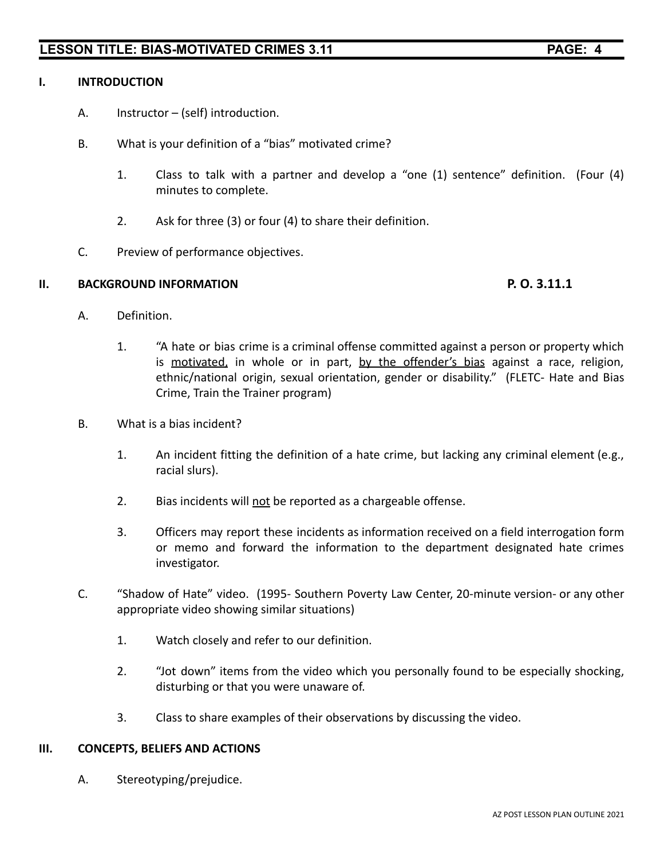# **I. INTRODUCTION**

- A. Instructor (self) introduction.
- B. What is your definition of a "bias" motivated crime?
	- 1. Class to talk with a partner and develop a "one (1) sentence" definition. (Four (4) minutes to complete.
	- 2. Ask for three (3) or four (4) to share their definition.
- C. Preview of performance objectives.

### **II. BACKGROUND INFORMATION P. O. 3.11.1**

- A. Definition.
	- 1. "A hate or bias crime is a criminal offense committed against a person or property which is motivated, in whole or in part, by the offender's bias against a race, religion, ethnic/national origin, sexual orientation, gender or disability." (FLETC- Hate and Bias Crime, Train the Trainer program)
- B. What is a bias incident?
	- 1. An incident fitting the definition of a hate crime, but lacking any criminal element (e.g., racial slurs).
	- 2. Bias incidents will not be reported as a chargeable offense.
	- 3. Officers may report these incidents as information received on a field interrogation form or memo and forward the information to the department designated hate crimes investigator.
- C. "Shadow of Hate" video. (1995- Southern Poverty Law Center, 20-minute version- or any other appropriate video showing similar situations)
	- 1. Watch closely and refer to our definition.
	- 2. "Jot down" items from the video which you personally found to be especially shocking, disturbing or that you were unaware of.
	- 3. Class to share examples of their observations by discussing the video.

# **III. CONCEPTS, BELIEFS AND ACTIONS**

A. Stereotyping/prejudice.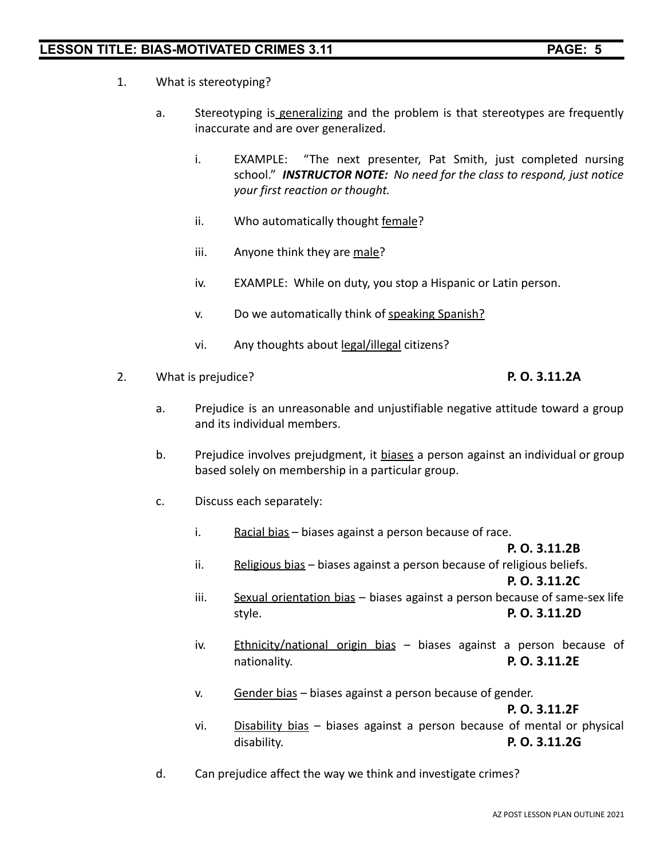- 1. What is stereotyping?
	- a. Stereotyping is generalizing and the problem is that stereotypes are frequently inaccurate and are over generalized.
		- i. EXAMPLE: "The next presenter, Pat Smith, just completed nursing school." *INSTRUCTOR NOTE: No need for the class to respond, just notice your first reaction or thought.*
		- ii. Who automatically thought female?
		- iii. Anyone think they are male?
		- iv. EXAMPLE: While on duty, you stop a Hispanic or Latin person.
		- v. Do we automatically think of speaking Spanish?
		- vi. Any thoughts about legal/illegal citizens?
- 2. What is prejudice? **P. O. 3.11.2A**

- a. Prejudice is an unreasonable and unjustifiable negative attitude toward a group and its individual members.
- b. Prejudice involves prejudgment, it biases a person against an individual or group based solely on membership in a particular group.
- c. Discuss each separately:
	- i. Racial bias biases against a person because of race.

# **P. O. 3.11.2B**

ii. Religious bias – biases against a person because of religious beliefs.

**P. O. 3.11.2C**

- iii. Sexual orientation bias biases against a person because of same-sex life style. **P. O. 3.11.2D**
- iv. Ethnicity/national origin bias biases against a person because of nationality. **P. O. 3.11.2E**
- v. Gender bias biases against a person because of gender.

**P. O. 3.11.2F**

- vi. Disability bias biases against a person because of mental or physical disability. **P. O. 3.11.2G**
- d. Can prejudice affect the way we think and investigate crimes?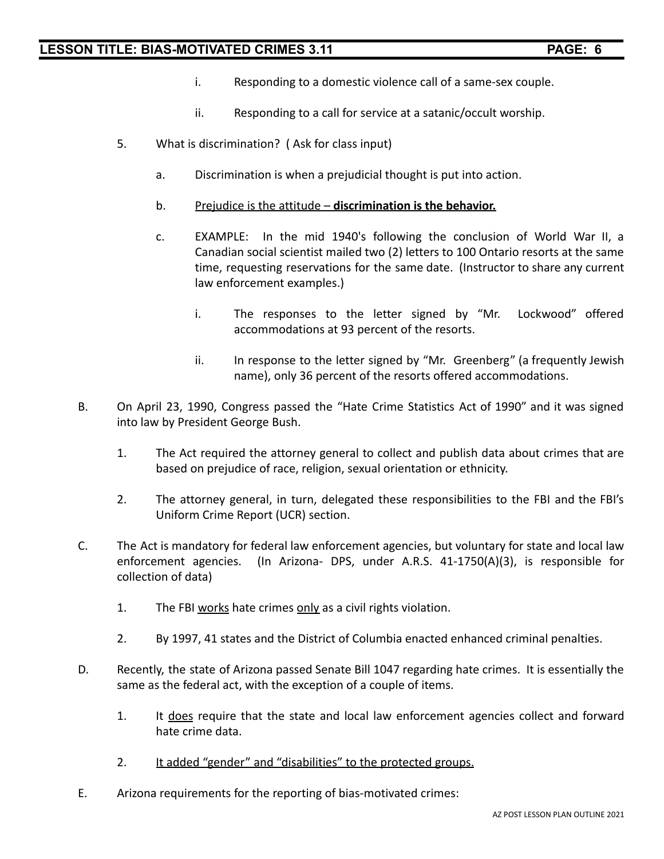- i. Responding to a domestic violence call of a same-sex couple.
- ii. Responding to a call for service at a satanic/occult worship.
- 5. What is discrimination? ( Ask for class input)
	- a. Discrimination is when a prejudicial thought is put into action.
	- b. Prejudice is the attitude **discrimination is the behavior.**
	- c. EXAMPLE: In the mid 1940's following the conclusion of World War II, a Canadian social scientist mailed two (2) letters to 100 Ontario resorts at the same time, requesting reservations for the same date. (Instructor to share any current law enforcement examples.)
		- i. The responses to the letter signed by "Mr. Lockwood" offered accommodations at 93 percent of the resorts.
		- ii. In response to the letter signed by "Mr. Greenberg" (a frequently Jewish name), only 36 percent of the resorts offered accommodations.
- B. On April 23, 1990, Congress passed the "Hate Crime Statistics Act of 1990" and it was signed into law by President George Bush.
	- 1. The Act required the attorney general to collect and publish data about crimes that are based on prejudice of race, religion, sexual orientation or ethnicity.
	- 2. The attorney general, in turn, delegated these responsibilities to the FBI and the FBI's Uniform Crime Report (UCR) section.
- C. The Act is mandatory for federal law enforcement agencies, but voluntary for state and local law enforcement agencies. (In Arizona- DPS, under A.R.S. 41-1750(A)(3), is responsible for collection of data)
	- 1. The FBI works hate crimes only as a civil rights violation.
	- 2. By 1997, 41 states and the District of Columbia enacted enhanced criminal penalties.
- D. Recently, the state of Arizona passed Senate Bill 1047 regarding hate crimes. It is essentially the same as the federal act, with the exception of a couple of items.
	- 1. It does require that the state and local law enforcement agencies collect and forward hate crime data.
	- 2. It added "gender" and "disabilities" to the protected groups.
- E. Arizona requirements for the reporting of bias-motivated crimes: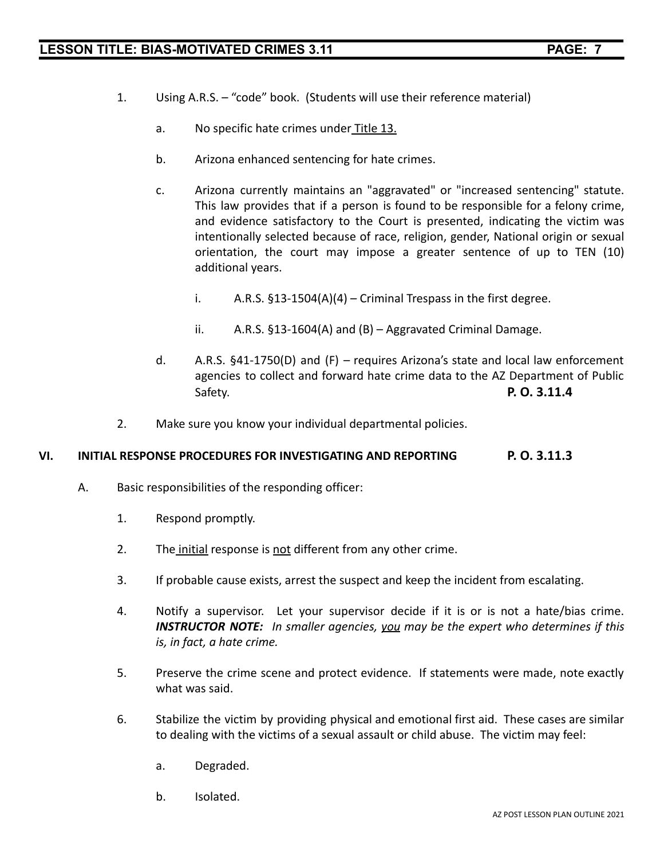- 1. Using A.R.S. "code" book. (Students will use their reference material)
	- a. No specific hate crimes under Title 13.
	- b. Arizona enhanced sentencing for hate crimes.
	- c. Arizona currently maintains an "aggravated" or "increased sentencing" statute. This law provides that if a person is found to be responsible for a felony crime, and evidence satisfactory to the Court is presented, indicating the victim was intentionally selected because of race, religion, gender, National origin or sexual orientation, the court may impose a greater sentence of up to TEN (10) additional years.
		- i.  $A.R.S. \S13-1504(A)(4) Criminal Trespass in the first degree.$
		- ii. A.R.S. §13-1604(A) and (B) Aggravated Criminal Damage.
	- d. A.R.S. §41-1750(D) and (F) requires Arizona's state and local law enforcement agencies to collect and forward hate crime data to the AZ Department of Public Safety. **P. O. 3.11.4**
- 2. Make sure you know your individual departmental policies.

### **VI. INITIAL RESPONSE PROCEDURES FOR INVESTIGATING AND REPORTING P. O. 3.11.3**

- A. Basic responsibilities of the responding officer:
	- 1. Respond promptly.
	- 2. The initial response is not different from any other crime.
	- 3. If probable cause exists, arrest the suspect and keep the incident from escalating.
	- 4. Notify a supervisor. Let your supervisor decide if it is or is not a hate/bias crime. *INSTRUCTOR NOTE: In smaller agencies, you may be the expert who determines if this is, in fact, a hate crime.*
	- 5. Preserve the crime scene and protect evidence. If statements were made, note exactly what was said.
	- 6. Stabilize the victim by providing physical and emotional first aid. These cases are similar to dealing with the victims of a sexual assault or child abuse. The victim may feel:
		- a. Degraded.
		- b. Isolated.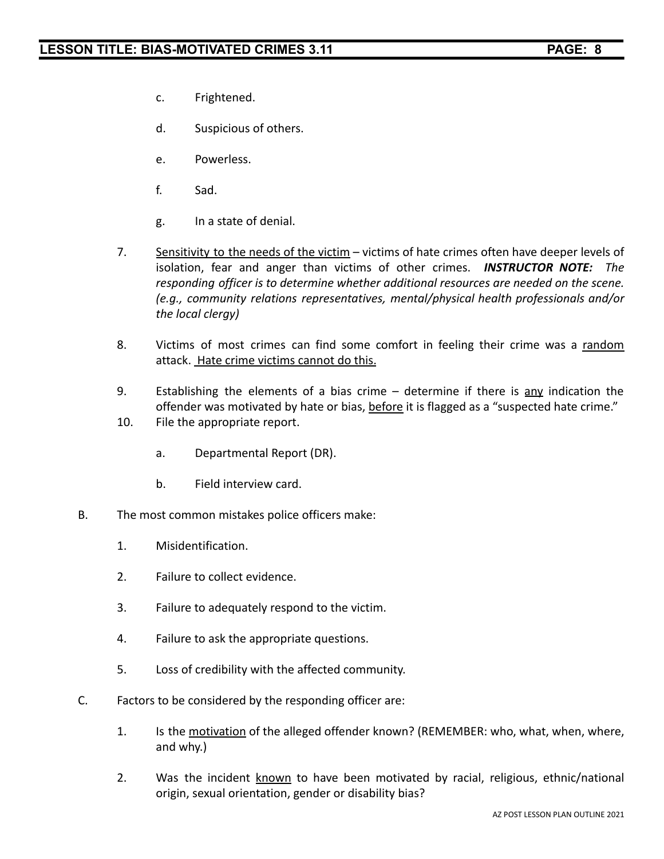- c. Frightened.
- d. Suspicious of others.
- e. Powerless.
- f. Sad.
- g. In a state of denial.
- 7. Sensitivity to the needs of the victim victims of hate crimes often have deeper levels of isolation, fear and anger than victims of other crimes. *INSTRUCTOR NOTE: The responding officer is to determine whether additional resources are needed on the scene. (e.g., community relations representatives, mental/physical health professionals and/or the local clergy)*
- 8. Victims of most crimes can find some comfort in feeling their crime was a random attack. Hate crime victims cannot do this.
- 9. Establishing the elements of a bias crime  $-$  determine if there is any indication the offender was motivated by hate or bias, before it is flagged as a "suspected hate crime."
- 10. File the appropriate report.
	- a. Departmental Report (DR).
	- b. Field interview card.
- B. The most common mistakes police officers make:
	- 1. Misidentification.
	- 2. Failure to collect evidence.
	- 3. Failure to adequately respond to the victim.
	- 4. Failure to ask the appropriate questions.
	- 5. Loss of credibility with the affected community.
- C. Factors to be considered by the responding officer are:
	- 1. Is the motivation of the alleged offender known? (REMEMBER: who, what, when, where, and why.)
	- 2. Was the incident known to have been motivated by racial, religious, ethnic/national origin, sexual orientation, gender or disability bias?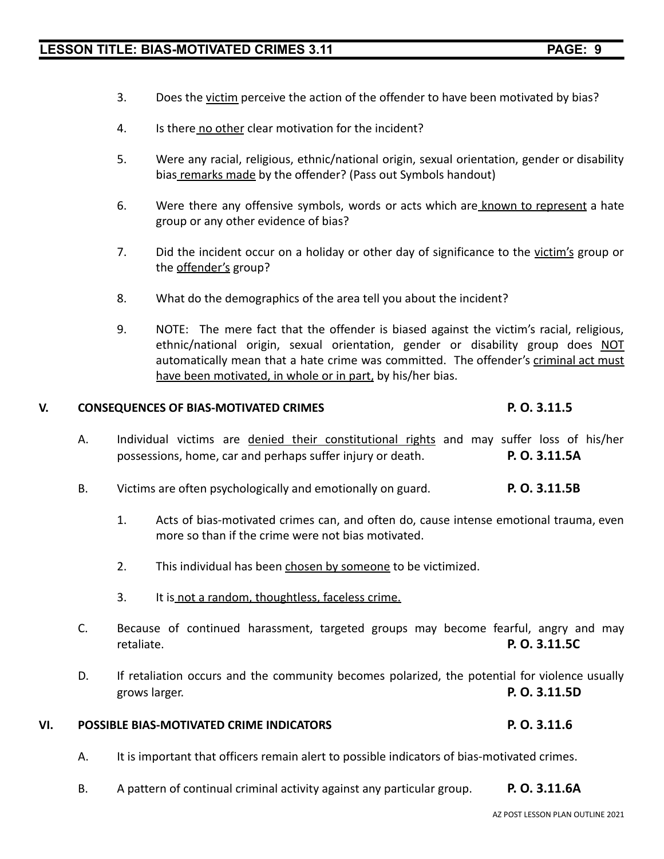- 3. Does the victim perceive the action of the offender to have been motivated by bias?
- 4. Is there no other clear motivation for the incident?
- 5. Were any racial, religious, ethnic/national origin, sexual orientation, gender or disability bias remarks made by the offender? (Pass out Symbols handout)
- 6. Were there any offensive symbols, words or acts which are known to represent a hate group or any other evidence of bias?
- 7. Did the incident occur on a holiday or other day of significance to the victim's group or the offender's group?
- 8. What do the demographics of the area tell you about the incident?
- 9. NOTE: The mere fact that the offender is biased against the victim's racial, religious, ethnic/national origin, sexual orientation, gender or disability group does NOT automatically mean that a hate crime was committed. The offender's criminal act must have been motivated, in whole or in part, by his/her bias.

### **V. CONSEQUENCES OF BIAS-MOTIVATED CRIMES P. O. 3.11.5**

- A. Individual victims are denied their constitutional rights and may suffer loss of his/her possessions, home, car and perhaps suffer injury or death. **P. O. 3.11.5A**
- B. Victims are often psychologically and emotionally on guard. **P. O. 3.11.5B**
	- 1. Acts of bias-motivated crimes can, and often do, cause intense emotional trauma, even more so than if the crime were not bias motivated.
	- 2. This individual has been chosen by someone to be victimized.
	- 3. It is not a random, thoughtless, faceless crime.
- C. Because of continued harassment, targeted groups may become fearful, angry and may retaliate. **P. O. 3.11.5C**
- D. If retaliation occurs and the community becomes polarized, the potential for violence usually grows larger. **P. O. 3.11.5D**

# **VI. POSSIBLE BIAS-MOTIVATED CRIME INDICATORS P. O. 3.11.6**

- A. It is important that officers remain alert to possible indicators of bias-motivated crimes.
- B. A pattern of continual criminal activity against any particular group. **P. O. 3.11.6A**